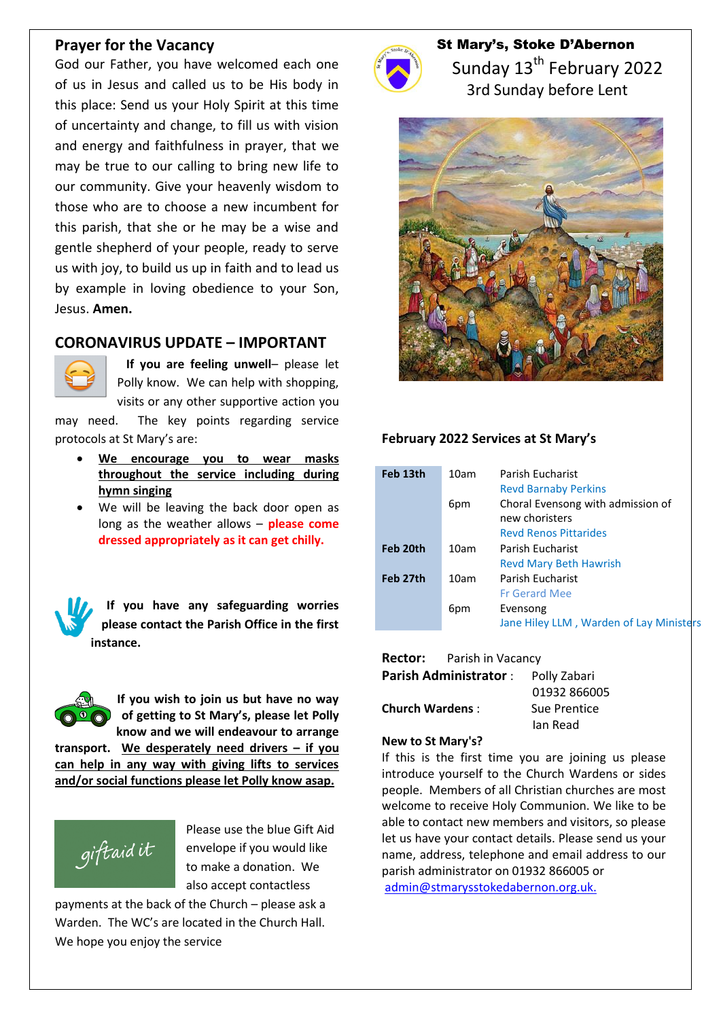### **Prayer for the Vacancy**

God our Father, you have welcomed each one of us in Jesus and called us to be His body in this place: Send us your Holy Spirit at this time of uncertainty and change, to fill us with vision and energy and faithfulness in prayer, that we may be true to our calling to bring new life to our community. Give your heavenly wisdom to those who are to choose a new incumbent for this parish, that she or he may be a wise and gentle shepherd of your people, ready to serve us with joy, to build us up in faith and to lead us by example in loving obedience to your Son, Jesus. **Amen.**

## **CORONAVIRUS UPDATE – IMPORTANT**



 **If you are feeling unwell**– please let Polly know. We can help with shopping, visits or any other supportive action you

may need. The key points regarding service protocols at St Mary's are:

- **We encourage you to wear masks throughout the service including during hymn singing**
- We will be leaving the back door open as long as the weather allows – **please come dressed appropriately as it can get chilly.**

**If you have any safeguarding worries please contact the Parish Office in the first instance.**



**and/or social functions please let Polly know asap.**



Please use the blue Gift Aid envelope if you would like to make a donation. We also accept contactless

payments at the back of the Church – please ask a Warden. The WC's are located in the Church Hall. We hope you enjoy the service



St Mary's, Stoke D'Abernon Sunday 13<sup>th</sup> February 2022 3rd Sunday before Lent



### **February 2022 Services at St Mary's**

| Feb 13th | 10am | Parish Eucharist<br><b>Revd Barnaby Perkins</b>     |
|----------|------|-----------------------------------------------------|
|          | 6pm  | Choral Evensong with admission of<br>new choristers |
|          |      | <b>Revd Renos Pittarides</b>                        |
| Feb 20th | 10am | Parish Eucharist                                    |
|          |      | <b>Revd Mary Beth Hawrish</b>                       |
| Feb 27th | 10am | Parish Eucharist                                    |
|          |      | <b>Fr Gerard Mee</b>                                |
|          | 6pm  | Evensong                                            |
|          |      | Jane Hiley LLM, Warden of Lay Ministers             |

### **Rector:** Parish in Vacancy

| <b>Parish Administrator:</b> | Polly Zabari |
|------------------------------|--------------|
|                              | 01932 866005 |
| <b>Church Wardens:</b>       | Sue Prentice |
|                              | Jan Read     |

#### **New to St Mary's?**

If this is the first time you are joining us please introduce yourself to the Church Wardens or sides people. Members of all Christian churches are most welcome to receive Holy Communion. We like to be able to contact new members and visitors, so please let us have your contact details. Please send us your name, address, telephone and email address to our parish administrator on 01932 866005 or [admin@stmarysstokedabernon.org.uk.](mailto:admin@stmarysstokedabernon.org.uk)